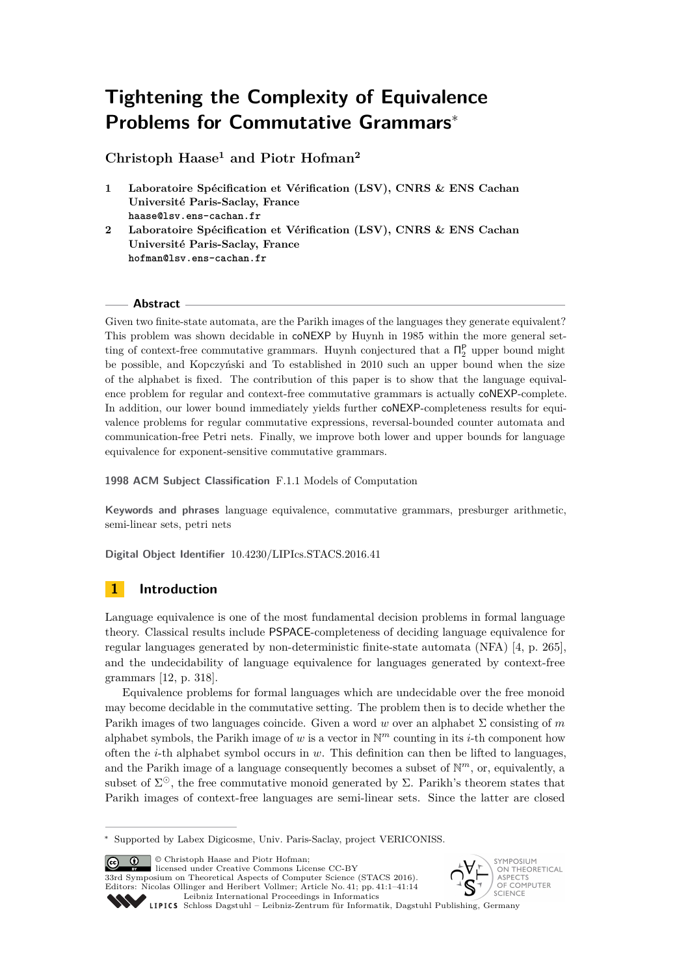# **Tightening the Complexity of Equivalence Problems for Commutative Grammars**<sup>∗</sup>

**Christoph Haase<sup>1</sup> and Piotr Hofman<sup>2</sup>**

- **1 Laboratoire Spécification et Vérification (LSV), CNRS & ENS Cachan Université Paris-Saclay, France haase@lsv.ens-cachan.fr**
- **2 Laboratoire Spécification et Vérification (LSV), CNRS & ENS Cachan Université Paris-Saclay, France hofman@lsv.ens-cachan.fr**

## **Abstract**

Given two finite-state automata, are the Parikh images of the languages they generate equivalent? This problem was shown decidable in coNEXP by Huynh in 1985 within the more general setting of context-free commutative grammars. Huynh conjectured that a  $\Pi_2^{\mathsf{P}}$  upper bound might be possible, and Kopczyński and To established in 2010 such an upper bound when the size of the alphabet is fixed. The contribution of this paper is to show that the language equivalence problem for regular and context-free commutative grammars is actually coNEXP-complete. In addition, our lower bound immediately yields further coNEXP-completeness results for equivalence problems for regular commutative expressions, reversal-bounded counter automata and communication-free Petri nets. Finally, we improve both lower and upper bounds for language equivalence for exponent-sensitive commutative grammars.

**1998 ACM Subject Classification** F.1.1 Models of Computation

**Keywords and phrases** language equivalence, commutative grammars, presburger arithmetic, semi-linear sets, petri nets

**Digital Object Identifier** [10.4230/LIPIcs.STACS.2016.41](http://dx.doi.org/10.4230/LIPIcs.STACS.2016.41)

# **1 Introduction**

Language equivalence is one of the most fundamental decision problems in formal language theory. Classical results include PSPACE-completeness of deciding language equivalence for regular languages generated by non-deterministic finite-state automata (NFA) [\[4,](#page-12-0) p. 265], and the undecidability of language equivalence for languages generated by context-free grammars [\[12,](#page-12-1) p. 318].

Equivalence problems for formal languages which are undecidable over the free monoid may become decidable in the commutative setting. The problem then is to decide whether the Parikh images of two languages coincide. Given a word *w* over an alphabet Σ consisting of *m* alphabet symbols, the Parikh image of  $w$  is a vector in  $\mathbb{N}^m$  counting in its *i*-th component how often the *i*-th alphabet symbol occurs in *w*. This definition can then be lifted to languages, and the Parikh image of a language consequently becomes a subset of N *<sup>m</sup>*, or, equivalently, a subset of  $\Sigma^{\odot}$ , the free commutative monoid generated by  $\Sigma$ . Parikh's theorem states that Parikh images of context-free languages are semi-linear sets. Since the latter are closed

© Christoph Haase and Piotr Hofman;  $\boxed{6}$  0 licensed under Creative Commons License CC-BY 33rd Symposium on Theoretical Aspects of Computer Science (STACS 2016). Editors: Nicolas Ollinger and Heribert Vollmer; Article No. 41; pp. 41:1–41[:14](#page-13-0) [Leibniz International Proceedings in Informatics](http://www.dagstuhl.de/lipics/)



Leibniz international Froceedings in miximistics<br>
LIPICS [Schloss Dagstuhl – Leibniz-Zentrum für Informatik, Dagstuhl Publishing, Germany](http://www.dagstuhl.de)

<sup>∗</sup> Supported by Labex Digicosme, Univ. Paris-Saclay, project VERICONISS.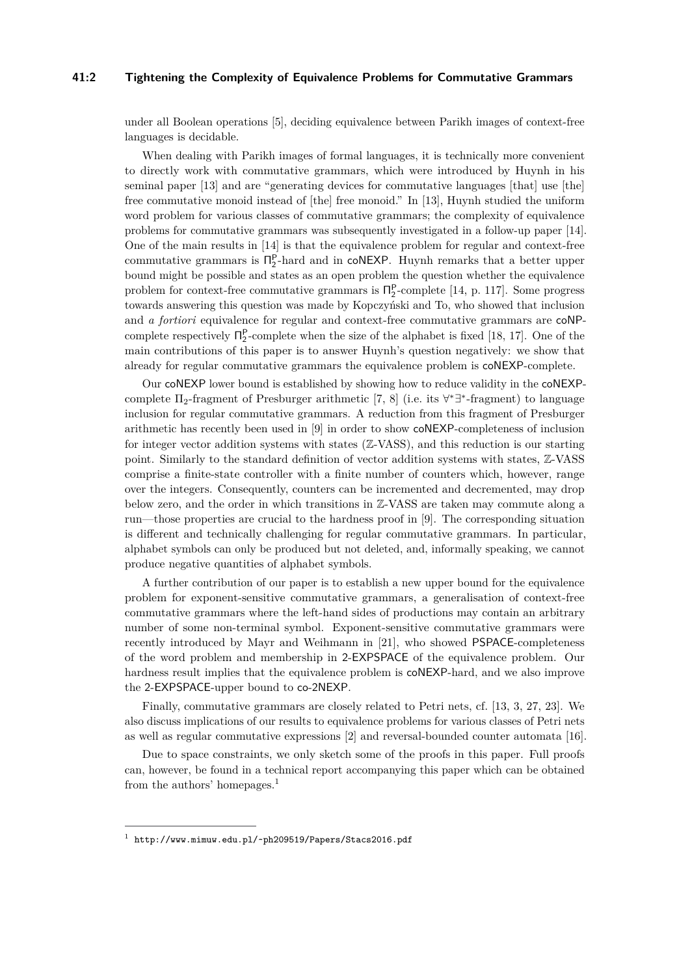#### **41:2 Tightening the Complexity of Equivalence Problems for Commutative Grammars**

under all Boolean operations [\[5\]](#page-12-2), deciding equivalence between Parikh images of context-free languages is decidable.

When dealing with Parikh images of formal languages, it is technically more convenient to directly work with commutative grammars, which were introduced by Huynh in his seminal paper [\[13\]](#page-12-3) and are "generating devices for commutative languages [that] use [the] free commutative monoid instead of [the] free monoid." In [\[13\]](#page-12-3), Huynh studied the uniform word problem for various classes of commutative grammars; the complexity of equivalence problems for commutative grammars was subsequently investigated in a follow-up paper [\[14\]](#page-12-4). One of the main results in [\[14\]](#page-12-4) is that the equivalence problem for regular and context-free commutative grammars is  $\Pi_2^{\mathsf{P}}$ -hard and in coNEXP. Huynh remarks that a better upper bound might be possible and states as an open problem the question whether the equivalence problem for context-free commutative grammars is  $\Pi_2^{\mathsf{P}}$ -complete [\[14,](#page-12-4) p. 117]. Some progress towards answering this question was made by Kopczyński and To, who showed that inclusion and *a fortiori* equivalence for regular and context-free commutative grammars are coNPcomplete respectively  $\Pi_2^P$ -complete when the size of the alphabet is fixed [\[18,](#page-12-5) [17\]](#page-12-6). One of the main contributions of this paper is to answer Huynh's question negatively: we show that already for regular commutative grammars the equivalence problem is coNEXP-complete.

Our coNEXP lower bound is established by showing how to reduce validity in the coNEXPcomplete  $\Pi_2$ -fragment of Presburger arithmetic [\[7,](#page-12-7) [8\]](#page-12-8) (i.e. its  $\forall^*\exists^*$ -fragment) to language inclusion for regular commutative grammars. A reduction from this fragment of Presburger arithmetic has recently been used in [\[9\]](#page-12-9) in order to show coNEXP-completeness of inclusion for integer vector addition systems with states ( $\mathbb{Z}-VASS$ ), and this reduction is our starting point. Similarly to the standard definition of vector addition systems with states, Z-VASS comprise a finite-state controller with a finite number of counters which, however, range over the integers. Consequently, counters can be incremented and decremented, may drop below zero, and the order in which transitions in Z-VASS are taken may commute along a run—those properties are crucial to the hardness proof in [\[9\]](#page-12-9). The corresponding situation is different and technically challenging for regular commutative grammars. In particular, alphabet symbols can only be produced but not deleted, and, informally speaking, we cannot produce negative quantities of alphabet symbols.

A further contribution of our paper is to establish a new upper bound for the equivalence problem for exponent-sensitive commutative grammars, a generalisation of context-free commutative grammars where the left-hand sides of productions may contain an arbitrary number of some non-terminal symbol. Exponent-sensitive commutative grammars were recently introduced by Mayr and Weihmann in [\[21\]](#page-12-10), who showed PSPACE-completeness of the word problem and membership in 2-EXPSPACE of the equivalence problem. Our hardness result implies that the equivalence problem is coNEXP-hard, and we also improve the 2-EXPSPACE-upper bound to co-2NEXP.

Finally, commutative grammars are closely related to Petri nets, cf. [\[13,](#page-12-3) [3,](#page-11-0) [27,](#page-13-1) [23\]](#page-13-2). We also discuss implications of our results to equivalence problems for various classes of Petri nets as well as regular commutative expressions [\[2\]](#page-11-1) and reversal-bounded counter automata [\[16\]](#page-12-11).

Due to space constraints, we only sketch some of the proofs in this paper. Full proofs can, however, be found in a technical report accompanying this paper which can be obtained from the authors' homepages.[1](#page-1-0)

<span id="page-1-0"></span> $^{\rm 1}$  <http://www.mimuw.edu.pl/~ph209519/Papers/Stacs2016.pdf>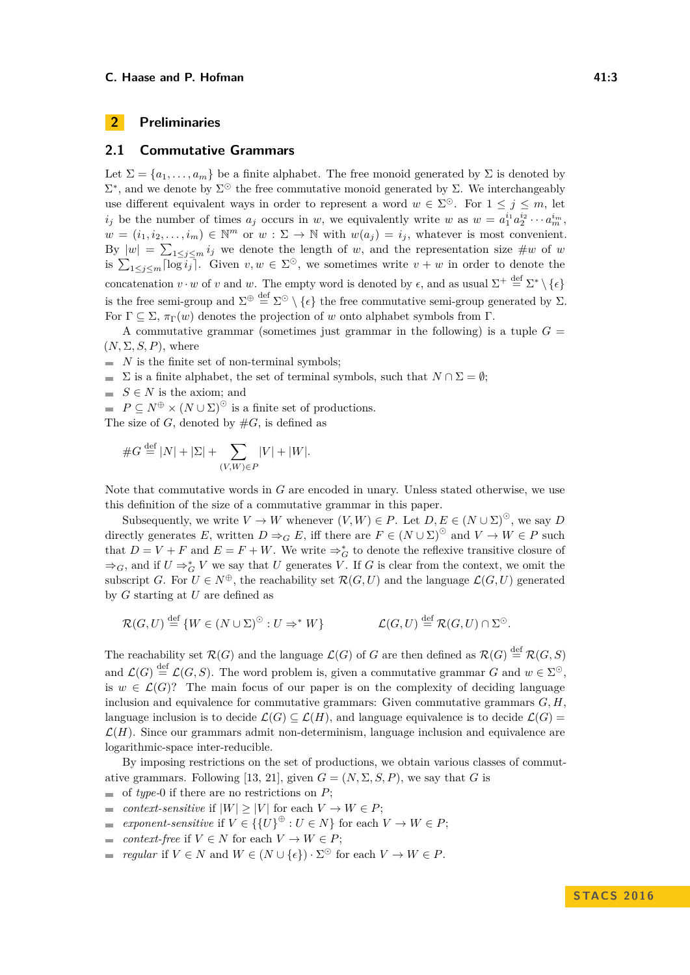# **2 Preliminaries**

## **2.1 Commutative Grammars**

Let  $\Sigma = \{a_1, \ldots, a_m\}$  be a finite alphabet. The free monoid generated by  $\Sigma$  is denoted by  $\Sigma^*$ , and we denote by  $\Sigma^{\odot}$  the free commutative monoid generated by Σ. We interchangeably use different equivalent ways in order to represent a word  $w \in \Sigma^{\odot}$ . For  $1 \leq j \leq m$ , let *i*<sub>j</sub> be the number of times  $a_j$  occurs in *w*, we equivalently write *w* as  $w = a_1^{i_1} a_2^{i_2} \cdots a_m^{i_m}$ ,  $w = (i_1, i_2, \ldots, i_m) \in \mathbb{N}^m$  or  $w : \Sigma \to \mathbb{N}$  with  $w(a_j) = i_j$ , whatever is most convenient. By  $|w| = \sum_{1 \leq j \leq m} i_j$  we denote the length of *w*, and the representation size  $\#w$  of *w* is  $\sum_{1 \leq j \leq m} \lceil \log i_j \rceil$ . Given  $v, w \in \Sigma^{\odot}$ , we sometimes write  $v + w$  in order to denote the concatenation  $v \cdot w$  of  $v$  and  $w$ . The empty word is denoted by  $\epsilon$ , and as usual  $\Sigma^+ \stackrel{\text{def}}{=} \Sigma^* \setminus {\epsilon}$ is the free semi-group and  $\Sigma^{\oplus} \stackrel{\text{def}}{=} \Sigma^{\odot} \setminus {\{\epsilon\}}$  the free commutative semi-group generated by  $\Sigma$ . For  $\Gamma \subseteq \Sigma$ ,  $\pi_{\Gamma}(w)$  denotes the projection of *w* onto alphabet symbols from  $\Gamma$ .

A commutative grammar (sometimes just grammar in the following) is a tuple  $G =$  $(N, \Sigma, S, P)$ , where

- $\blacksquare$  *N* is the finite set of non-terminal symbols;
- $\sum$  is a finite alphabet, the set of terminal symbols, such that  $N \cap \Sigma = \emptyset$ ;
- $S \in N$  is the axiom; and
- $P \subseteq N^{\oplus} \times (N \cup \Sigma)^{\odot}$  is a finite set of productions.
- The size of  $G$ , denoted by  $#G$ , is defined as

#*G* def = |*N*| + |Σ| + X (*V,W*)∈*P* |*V* | + |*W*|*.*

Note that commutative words in *G* are encoded in unary. Unless stated otherwise, we use this definition of the size of a commutative grammar in this paper.

Subsequently, we write  $V \to W$  whenever  $(V, W) \in P$ . Let  $D, E \in (N \cup \Sigma)^{\odot}$ , we say *D* directly generates *E*, written  $D \Rightarrow_G E$ , iff there are  $F \in (N \cup \Sigma)^{\odot}$  and  $V \to W \in P$  such that  $D = V + F$  and  $E = F + W$ . We write  $\Rightarrow_G^*$  to denote the reflexive transitive closure of  $\Rightarrow$ *G*, and if *U*  $\Rightarrow$ <sup>\*</sup><sub>*G*</sub> *V* we say that *U* generates *V*. If *G* is clear from the context, we omit the subscript *G*. For  $U \in N^{\oplus}$ , the reachability set  $\mathcal{R}(G, U)$  and the language  $\mathcal{L}(G, U)$  generated by *G* starting at *U* are defined as

$$
\mathcal{R}(G,U) \stackrel{\text{def}}{=} \{W \in (N \cup \Sigma)^{\odot} : U \Rightarrow^* W\} \qquad \mathcal{L}(G,U) \stackrel{\text{def}}{=} \mathcal{R}(G,U) \cap \Sigma^{\odot}.
$$

The reachability set  $\mathcal{R}(G)$  and the language  $\mathcal{L}(G)$  of *G* are then defined as  $\mathcal{R}(G) \stackrel{\text{def}}{=} \mathcal{R}(G, S)$ and  $\mathcal{L}(G) \stackrel{\text{def}}{=} \mathcal{L}(G, S)$ . The word problem is, given a commutative grammar G and  $w \in \Sigma^{\odot}$ , is  $w \in \mathcal{L}(G)$ ? The main focus of our paper is on the complexity of deciding language inclusion and equivalence for commutative grammars: Given commutative grammars  $G, H$ , language inclusion is to decide  $\mathcal{L}(G) \subset \mathcal{L}(H)$ , and language equivalence is to decide  $\mathcal{L}(G)$  $\mathcal{L}(H)$ . Since our grammars admit non-determinism, language inclusion and equivalence are logarithmic-space inter-reducible.

By imposing restrictions on the set of productions, we obtain various classes of commut-ative grammars. Following [\[13,](#page-12-3) [21\]](#page-12-10), given  $G = (N, \Sigma, S, P)$ , we say that *G* is

- $\blacksquare$  of *type*-0 if there are no restrictions on *P*;
- *context-sensitive* if  $|W| > |V|$  for each  $V \to W \in P$ ;  $\overline{a}$
- *exponent-sensitive* if  $V \in \{ \{U\}^{\oplus} : U \in N \}$  for each  $V \to W \in P$ ;  $\overline{a}$
- *context-free* if  $V \in N$  for each  $V \to W \in P$ ;  $\overline{a}$
- *regular* if  $V \in N$  and  $W \in (N \cup \{\epsilon\}) \cdot \Sigma^{\odot}$  for each  $V \to W \in P$ .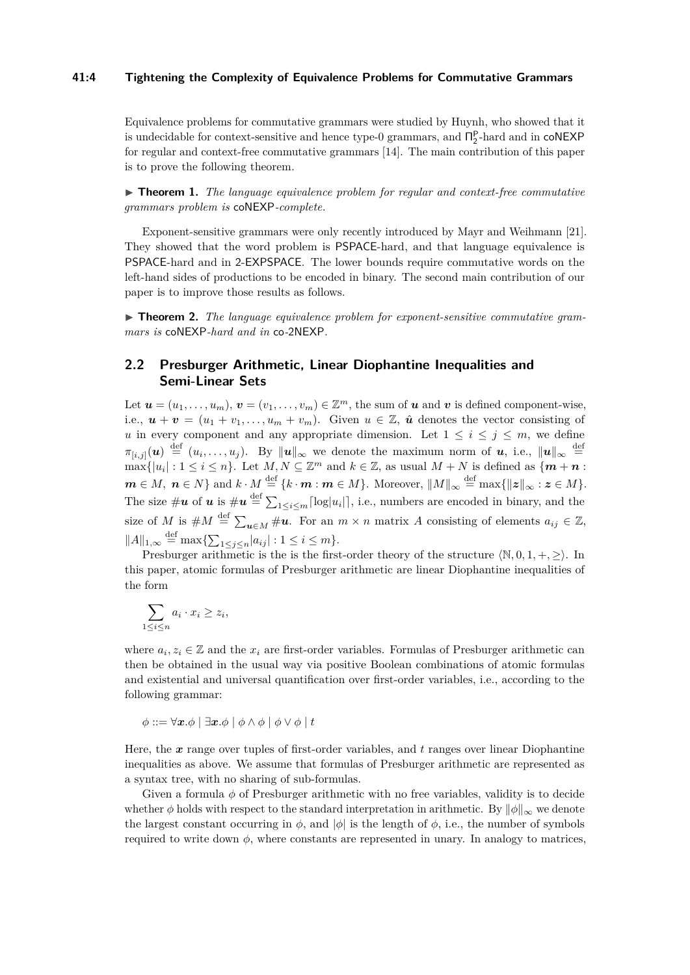#### **41:4 Tightening the Complexity of Equivalence Problems for Commutative Grammars**

Equivalence problems for commutative grammars were studied by Huynh, who showed that it is undecidable for context-sensitive and hence type-0 grammars, and  $\Pi_2^P$ -hard and in  $\text{coNEXP}$ for regular and context-free commutative grammars [\[14\]](#page-12-4). The main contribution of this paper is to prove the following theorem.

<span id="page-3-0"></span>► **Theorem 1.** *The language equivalence problem for regular and context-free commutative grammars problem is* coNEXP*-complete.*

Exponent-sensitive grammars were only recently introduced by Mayr and Weihmann [\[21\]](#page-12-10). They showed that the word problem is PSPACE-hard, and that language equivalence is PSPACE-hard and in 2-EXPSPACE. The lower bounds require commutative words on the left-hand sides of productions to be encoded in binary. The second main contribution of our paper is to improve those results as follows.

<span id="page-3-1"></span>▶ **Theorem 2.** The language equivalence problem for exponent-sensitive commutative gram*mars is* coNEXP*-hard and in* co*-*2NEXP*.*

# **2.2 Presburger Arithmetic, Linear Diophantine Inequalities and Semi-Linear Sets**

Let  $u = (u_1, \ldots, u_m)$ ,  $v = (v_1, \ldots, v_m) \in \mathbb{Z}^m$ , the sum of  $u$  and  $v$  is defined component-wise, i.e.,  $u + v = (u_1 + v_1, \ldots, u_m + v_m)$ . Given  $u \in \mathbb{Z}$ ,  $\hat{u}$  denotes the vector consisting of *u* in every component and any appropriate dimension. Let  $1 \leq i \leq j \leq m$ , we define  $\pi_{[i,j]}(u) \stackrel{\text{def}}{=} (u_i,\ldots,u_j)$ . By  $||u||_{\infty}$  we denote the maximum norm of *u*, i.e.,  $||u||_{\infty} \stackrel{\text{def}}{=}$  $\max\{|u_i|: 1 \leq i \leq n\}$ . Let  $M, N \subseteq \mathbb{Z}^m$  and  $k \in \mathbb{Z}$ , as usual  $M + N$  is defined as  $\{m + n\}$ :  $m \in M$ ,  $n \in N$ } and  $k \cdot M \stackrel{\text{def}}{=} \{k \cdot m : m \in M\}$ . Moreover,  $||M||_{\infty} \stackrel{\text{def}}{=} \max\{||z||_{\infty} : z \in M\}$ . The size  $\#\bm{u}$  of  $\bm{u}$  is  $\#\bm{u} \stackrel{\text{def}}{=} \sum_{1 \leq i \leq m} \lceil \log |u_i| \rceil$ , i.e., numbers are encoded in binary, and the size of *M* is  $\#M \stackrel{\text{def}}{=} \sum_{\mathbf{u} \in M} \# \mathbf{u}$ . For an  $m \times n$  matrix *A* consisting of elements  $a_{ij} \in \mathbb{Z}$ ,  $||A||_{1,\infty} \stackrel{\text{def}}{=} \max\{\sum_{1 \leq j \leq n} |a_{ij}| : 1 \leq i \leq m\}.$ 

Presburger arithmetic is the is the first-order theory of the structure  $\langle \mathbb{N}, 0, 1, +, \geq \rangle$ . In this paper, atomic formulas of Presburger arithmetic are linear Diophantine inequalities of the form

$$
\sum_{1 \le i \le n} a_i \cdot x_i \ge z_i,
$$

where  $a_i, z_i \in \mathbb{Z}$  and the  $x_i$  are first-order variables. Formulas of Presburger arithmetic can then be obtained in the usual way via positive Boolean combinations of atomic formulas and existential and universal quantification over first-order variables, i.e., according to the following grammar:

$$
\phi ::= \forall \mathbf{x}.\phi \mid \exists \mathbf{x}.\phi \mid \phi \land \phi \mid \phi \lor \phi \mid t
$$

Here, the *x* range over tuples of first-order variables, and *t* ranges over linear Diophantine inequalities as above. We assume that formulas of Presburger arithmetic are represented as a syntax tree, with no sharing of sub-formulas.

Given a formula *φ* of Presburger arithmetic with no free variables, validity is to decide whether  $\phi$  holds with respect to the standard interpretation in arithmetic. By  $\|\phi\|_{\infty}$  we denote the largest constant occurring in  $\phi$ , and  $|\phi|$  is the length of  $\phi$ , i.e., the number of symbols required to write down  $\phi$ , where constants are represented in unary. In analogy to matrices,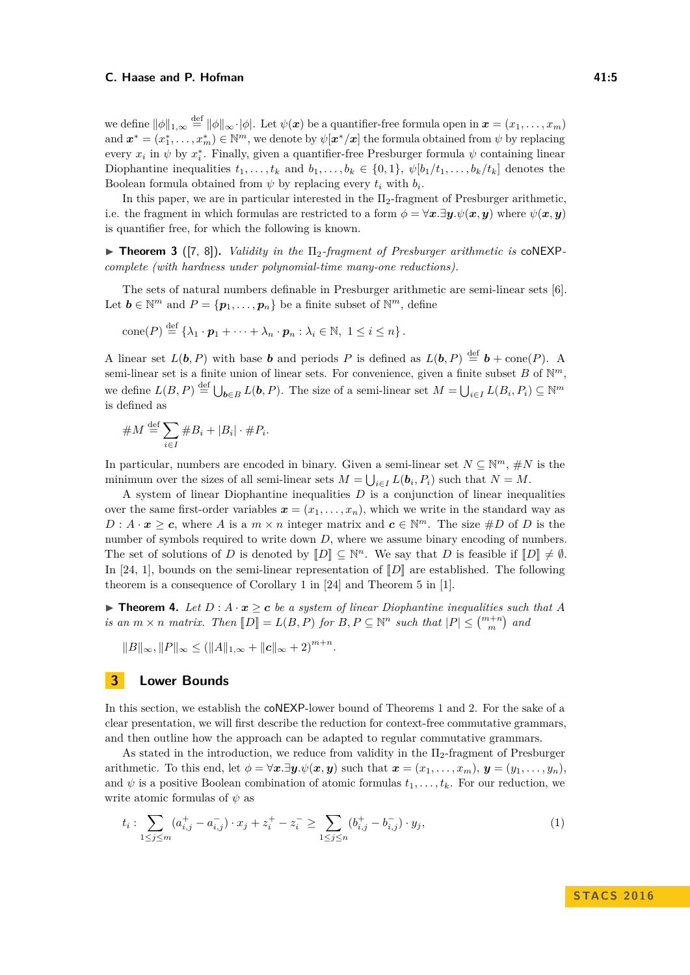we define  $\|\phi\|_{1,\infty} \stackrel{\text{def}}{=} \|\phi\|_{\infty} \cdot |\phi|$ . Let  $\psi(x)$  be a quantifier-free formula open in  $x = (x_1, \ldots, x_m)$ and  $\mathbf{x}^* = (x_1^*, \ldots, x_m^*) \in \mathbb{N}^m$ , we denote by  $\psi[\mathbf{x}^*/\mathbf{x}]$  the formula obtained from  $\psi$  by replacing every  $x_i$  in  $\psi$  by  $x_i^*$ . Finally, given a quantifier-free Presburger formula  $\psi$  containing linear Diophantine inequalities  $t_1, \ldots, t_k$  and  $b_1, \ldots, b_k \in \{0, 1\}, \psi[b_1/t_1, \ldots, b_k/t_k]$  denotes the Boolean formula obtained from  $\psi$  by replacing every  $t_i$  with  $b_i$ .

In this paper, we are in particular interested in the  $\Pi_2$ -fragment of Presburger arithmetic. i.e. the fragment in which formulas are restricted to a form  $\phi = \forall x \cdot \exists y \cdot \psi(x, y)$  where  $\psi(x, y)$ is quantifier free, for which the following is known.

<span id="page-4-2"></span>I **Theorem 3** ([\[7,](#page-12-7) [8\]](#page-12-8))**.** *Validity in the* Π2*-fragment of Presburger arithmetic is* coNEXP*complete (with hardness under polynomial-time many-one reductions).*

The sets of natural numbers definable in Presburger arithmetic are semi-linear sets [\[6\]](#page-12-12). Let  $\mathbf{b} \in \mathbb{N}^m$  and  $P = {\mathbf{p}_1, \ldots, \mathbf{p}_n}$  be a finite subset of  $\mathbb{N}^m$ , define

cone(P) 
$$
\stackrel{\text{def}}{=} \{\lambda_1 \cdot \mathbf{p}_1 + \cdots + \lambda_n \cdot \mathbf{p}_n : \lambda_i \in \mathbb{N}, 1 \leq i \leq n\}.
$$

A linear set  $L(\boldsymbol{b}, P)$  with base *b* and periods *P* is defined as  $L(\boldsymbol{b}, P) \stackrel{\text{def}}{=} \boldsymbol{b} + \text{cone}(P)$ . A semi-linear set is a finite union of linear sets. For convenience, given a finite subset  $B$  of  $\mathbb{N}^m$ , we define  $L(B, P) \stackrel{\text{def}}{=} \bigcup_{b \in B} L(b, P)$ . The size of a semi-linear set  $M = \bigcup_{i \in I} L(B_i, P_i) \subseteq \mathbb{N}^m$ is defined as

#*M* def = X *i*∈*I* #*B<sup>i</sup>* + |*B<sup>i</sup>* | · #*P<sup>i</sup> .*

In particular, numbers are encoded in binary. Given a semi-linear set  $N \subseteq \mathbb{N}^m$ ,  $\#N$  is the minimum over the sizes of all semi-linear sets  $M = \bigcup_{i \in I} L(b_i, P_i)$  such that  $N = M$ .

A system of linear Diophantine inequalities *D* is a conjunction of linear inequalities over the same first-order variables  $x = (x_1, \ldots, x_n)$ , which we write in the standard way as  $D: A \cdot x \geq c$ , where *A* is a  $m \times n$  integer matrix and  $c \in \mathbb{N}^m$ . The size #*D* of *D* is the number of symbols required to write down *D*, where we assume binary encoding of numbers. The set of solutions of *D* is denoted by  $[\![D]\!] \subseteq \mathbb{N}^n$ . We say that *D* is feasible if  $[\![D]\!] \neq \emptyset$ . In [\[24,](#page-13-3) [1\]](#page-11-2), bounds on the semi-linear representation of  $\llbracket D \rrbracket$  are established. The following theorem is a consequence of Corollary 1 in [\[24\]](#page-13-3) and Theorem 5 in [\[1\]](#page-11-2).

<span id="page-4-1"></span>**► Theorem 4.** Let  $D: A \cdot x \ge c$  be a system of linear Diophantine inequalities such that A *is an*  $m \times n$  *matrix. Then*  $[D] = L(B, P)$  *for*  $B, P \subseteq \mathbb{N}^n$  *such that*  $|P| \leq {m+n \choose m}$  *and* 

 $||B||_{\infty}, ||P||_{\infty} \leq (||A||_{1,\infty} + ||c||_{\infty} + 2)^{m+n}.$ 

# **3 Lower Bounds**

In this section, we establish the coNEXP-lower bound of Theorems [1](#page-3-0) and [2.](#page-3-1) For the sake of a clear presentation, we will first describe the reduction for context-free commutative grammars, and then outline how the approach can be adapted to regular commutative grammars.

As stated in the introduction, we reduce from validity in the  $\Pi_2$ -fragment of Presburger arithmetic. To this end, let  $\phi = \forall x \, .\exists y \, .\psi(x, y)$  such that  $x = (x_1, \ldots, x_m), y = (y_1, \ldots, y_n).$ and  $\psi$  is a positive Boolean combination of atomic formulas  $t_1, \ldots, t_k$ . For our reduction, we write atomic formulas of *ψ* as

<span id="page-4-0"></span>
$$
t_i: \sum_{1 \le j \le m} (a_{i,j}^+ - a_{i,j}^-) \cdot x_j + z_i^+ - z_i^- \ge \sum_{1 \le j \le n} (b_{i,j}^+ - b_{i,j}^-) \cdot y_j,\tag{1}
$$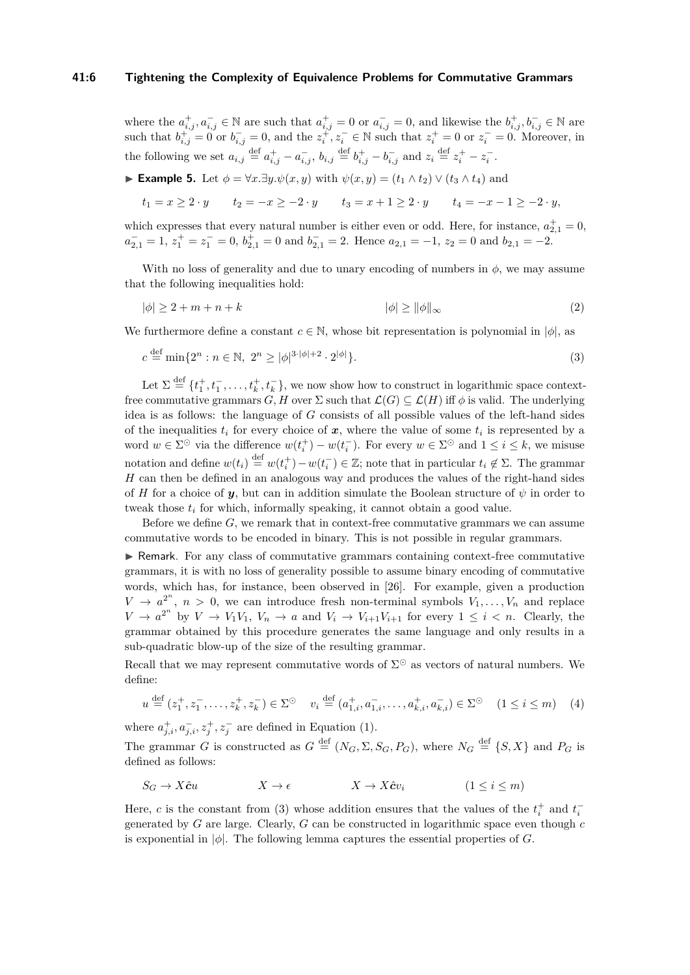#### **41:6 Tightening the Complexity of Equivalence Problems for Commutative Grammars**

where the  $a_{i,j}^+, a_{i,j}^- \in \mathbb{N}$  are such that  $a_{i,j}^+ = 0$  or  $a_{i,j}^- = 0$ , and likewise the  $b_{i,j}^+, b_{i,j}^- \in \mathbb{N}$  are such that  $b_{i,j}^+ = 0$  or  $b_{i,j}^- = 0$ , and the  $z_i^+$ ,  $z_i^- \in \mathbb{N}$  such that  $z_i^+ = 0$  or  $z_i^- = 0$ . Moreover, in the following we set  $a_{i,j} \stackrel{\text{def}}{=} a^+_{i,j} - a^-_{i,j}$ ,  $b_{i,j} \stackrel{\text{def}}{=} b^+_{i,j} - b^-_{i,j}$  and  $z_i \stackrel{\text{def}}{=} z^+_i - z^-_i$ .

# **► Example 5.** Let  $\phi = \forall x.\exists y.\psi(x,y)$  with  $\psi(x,y) = (t_1 \wedge t_2) \vee (t_3 \wedge t_4)$  and

 $t_1 = x \geq 2 \cdot y$   $t_2 = -x \geq -2 \cdot y$   $t_3 = x + 1 \geq 2 \cdot y$   $t_4 = -x - 1 \geq -2 \cdot y$ ,

which expresses that every natural number is either even or odd. Here, for instance,  $a_{2,1}^{+} = 0$ ,  $a_{2,1}^- = 1, z_1^+ = z_1^- = 0, b_{2,1}^+ = 0$  and  $b_{2,1}^- = 2$ . Hence  $a_{2,1} = -1, z_2 = 0$  and  $b_{2,1} = -2$ .

With no loss of generality and due to unary encoding of numbers in  $\phi$ , we may assume that the following inequalities hold:

$$
|\phi| \ge 2 + m + n + k \tag{2}
$$

We furthermore define a constant  $c \in \mathbb{N}$ , whose bit representation is polynomial in  $|\phi|$ , as

<span id="page-5-0"></span>
$$
c \stackrel{\text{def}}{=} \min\{2^n : n \in \mathbb{N}, \ 2^n \ge |\phi|^{3 \cdot |\phi| + 2} \cdot 2^{|\phi|}\}.
$$
 (3)

Let  $\Sigma \stackrel{\text{def}}{=} \{t_1^+, t_1^-, \ldots, t_k^+, t_k^-\}$ , we now show how to construct in logarithmic space contextfree commutative grammars  $G, H$  over  $\Sigma$  such that  $\mathcal{L}(G) \subseteq \mathcal{L}(H)$  iff  $\phi$  is valid. The underlying idea is as follows: the language of *G* consists of all possible values of the left-hand sides of the inequalities  $t_i$  for every choice of  $x$ , where the value of some  $t_i$  is represented by a word  $w \in \Sigma^{\odot}$  via the difference  $w(t_i^+) - w(t_i^-)$ . For every  $w \in \Sigma^{\odot}$  and  $1 \le i \le k$ , we misuse notation and define  $w(t_i) \stackrel{\text{def}}{=} w(t_i^+) - w(t_i^-) \in \mathbb{Z}$ ; note that in particular  $t_i \notin \Sigma$ . The grammar *H* can then be defined in an analogous way and produces the values of the right-hand sides of *H* for a choice of *y*, but can in addition simulate the Boolean structure of  $\psi$  in order to tweak those  $t_i$  for which, informally speaking, it cannot obtain a good value.

Before we define *G*, we remark that in context-free commutative grammars we can assume commutative words to be encoded in binary. This is not possible in regular grammars.

I Remark. For any class of commutative grammars containing context-free commutative grammars, it is with no loss of generality possible to assume binary encoding of commutative words, which has, for instance, been observed in [\[26\]](#page-13-4). For example, given a production  $V \rightarrow a^{2^n}$ ,  $n > 0$ , we can introduce fresh non-terminal symbols  $V_1, \ldots, V_n$  and replace  $V \to a^{2^n}$  by  $V \to V_1 V_1$ ,  $V_n \to a$  and  $V_i \to V_{i+1} V_{i+1}$  for every  $1 \leq i \leq n$ . Clearly, the grammar obtained by this procedure generates the same language and only results in a sub-quadratic blow-up of the size of the resulting grammar.

Recall that we may represent commutative words of  $\Sigma^{\odot}$  as vectors of natural numbers. We define:

$$
u \stackrel{\text{def}}{=} (z_1^+, z_1^-, \dots, z_k^+, z_k^-) \in \Sigma^\odot \quad v_i \stackrel{\text{def}}{=} (a_{1,i}^+, a_{1,i}^-, \dots, a_{k,i}^+, a_{k,i}^-) \in \Sigma^\odot \quad (1 \le i \le m) \tag{4}
$$

where  $a_{j,i}^+, a_{j,i}^-, z_j^+, z_j^-$  are defined in Equation [\(1\)](#page-4-0).

The grammar *G* is constructed as  $G \stackrel{\text{def}}{=} (N_G, \Sigma, S_G, P_G)$ , where  $N_G \stackrel{\text{def}}{=} \{S, X\}$  and  $P_G$  is defined as follows:

$$
S_G \to X\hat{c}u \qquad \qquad X \to \epsilon \qquad \qquad X \to X\hat{c}v_i \qquad \qquad (1 \le i \le m)
$$

Here, *c* is the constant from [\(3\)](#page-5-0) whose addition ensures that the values of the  $t_i^+$  and  $t_i^$ generated by *G* are large. Clearly, *G* can be constructed in logarithmic space even though *c* is exponential in  $|\phi|$ . The following lemma captures the essential properties of *G*.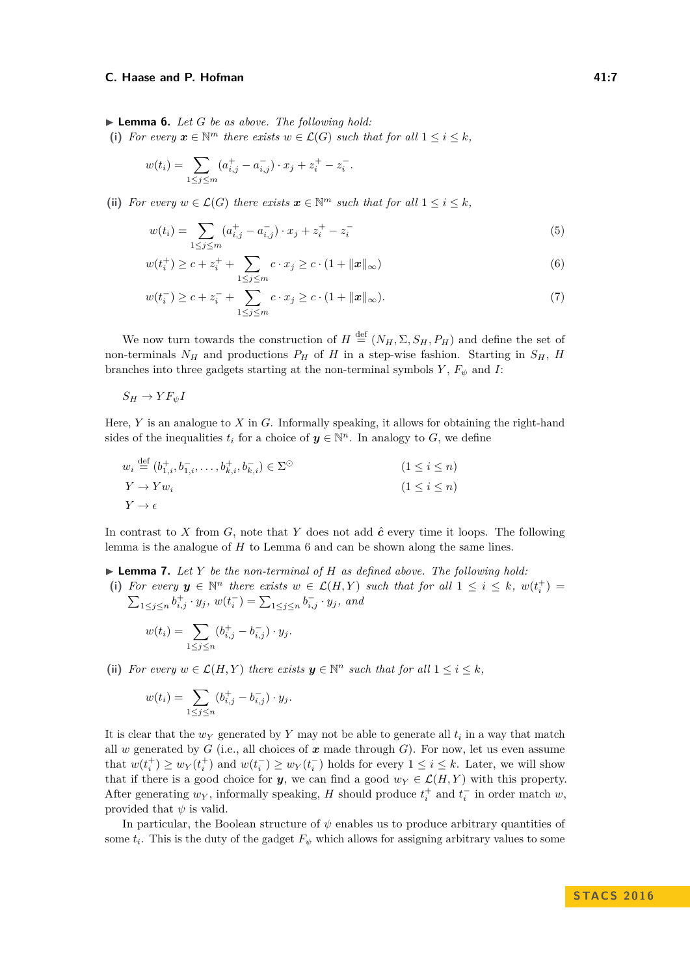<span id="page-6-0"></span>▶ **Lemma 6.** *Let G be as above. The following hold:* 

(i) For every  $x \in \mathbb{N}^m$  there exists  $w \in \mathcal{L}(G)$  such that for all  $1 \leq i \leq k$ ,

$$
w(t_i) = \sum_{1 \le j \le m} (a_{i,j}^+ - a_{i,j}^-) \cdot x_j + z_i^+ - z_i^-.
$$

(ii) *For every*  $w \in \mathcal{L}(G)$  *there exists*  $\mathbf{x} \in \mathbb{N}^m$  *such that for all*  $1 \leq i \leq k$ *,* 

<span id="page-6-3"></span><span id="page-6-2"></span>
$$
w(t_i) = \sum_{1 \le j \le m} (a_{i,j}^+ - a_{i,j}^-) \cdot x_j + z_i^+ - z_i^- \tag{5}
$$

$$
w(t_i^+) \ge c + z_i^+ + \sum_{1 \le j \le m} c \cdot x_j \ge c \cdot (1 + ||x||_{\infty})
$$
\n(6)

<span id="page-6-4"></span>
$$
w(t_i^-) \ge c + z_i^- + \sum_{1 \le j \le m} c \cdot x_j \ge c \cdot (1 + ||x||_{\infty}).
$$
\n(7)

We now turn towards the construction of  $H \stackrel{\text{def}}{=} (N_H, \Sigma, S_H, P_H)$  and define the set of non-terminals  $N_H$  and productions  $P_H$  of  $H$  in a step-wise fashion. Starting in  $S_H$ ,  $H$ branches into three gadgets starting at the non-terminal symbols  $Y$ ,  $F_{\psi}$  and  $I$ :

 $S_H \to Y F_{\psi} I$ 

Here, *Y* is an analogue to *X* in *G*. Informally speaking, it allows for obtaining the right-hand sides of the inequalities  $t_i$  for a choice of  $y \in \mathbb{N}^n$ . In analogy to *G*, we define

$$
w_i \stackrel{\text{def}}{=} (b_{1,i}^+, b_{1,i}^-, \dots, b_{k,i}^+, b_{k,i}^-) \in \Sigma^{\odot}
$$
  
\n
$$
Y \to Y w_i
$$
  
\n
$$
Y \to \epsilon
$$
  
\n
$$
(1 \le i \le n)
$$
  
\n
$$
(1 \le i \le n)
$$

In contrast to *X* from *G*, note that *Y* does not add  $\hat{c}$  every time it loops. The following lemma is the analogue of *H* to Lemma [6](#page-6-0) and can be shown along the same lines.

<span id="page-6-1"></span> $\blacktriangleright$  **Lemma 7.** Let Y be the non-terminal of H as defined above. The following hold: (i) For every  $y \in \mathbb{N}^n$  there exists  $w \in \mathcal{L}(H, Y)$  such that for all  $1 \leq i \leq k$ ,  $w(t_i^+)$  $\sum_{1 \leq j \leq n} b^+_{i,j} \cdot y_j$ ,  $w(t_i^-) = \sum_{1 \leq j \leq n} b^-_{i,j} \cdot y_j$ , and

$$
w(t_i) = \sum_{1 \le j \le n} (b_{i,j}^+ - b_{i,j}^-) \cdot y_j.
$$

(ii) *For every*  $w \in \mathcal{L}(H, Y)$  *there exists*  $y \in \mathbb{N}^n$  *such that for all*  $1 \leq i \leq k$ *,* 

$$
w(t_i) = \sum_{1 \le j \le n} (b_{i,j}^+ - b_{i,j}^-) \cdot y_j.
$$

It is clear that the *w<sup>Y</sup>* generated by *Y* may not be able to generate all *t<sup>i</sup>* in a way that match all *w* generated by *G* (i.e., all choices of  $x$  made through *G*). For now, let us even assume that  $w(t_i^+) \ge w_Y(t_i^+)$  and  $w(t_i^-) \ge w_Y(t_i^-)$  holds for every  $1 \le i \le k$ . Later, we will show that if there is a good choice for *y*, we can find a good  $w_Y \in \mathcal{L}(H, Y)$  with this property. After generating  $w_Y$ , informally speaking, *H* should produce  $t_i^+$  and  $t_i^-$  in order match  $w$ , provided that  $\psi$  is valid.

In particular, the Boolean structure of  $\psi$  enables us to produce arbitrary quantities of some  $t_i$ . This is the duty of the gadget  $F_\psi$  which allows for assigning arbitrary values to some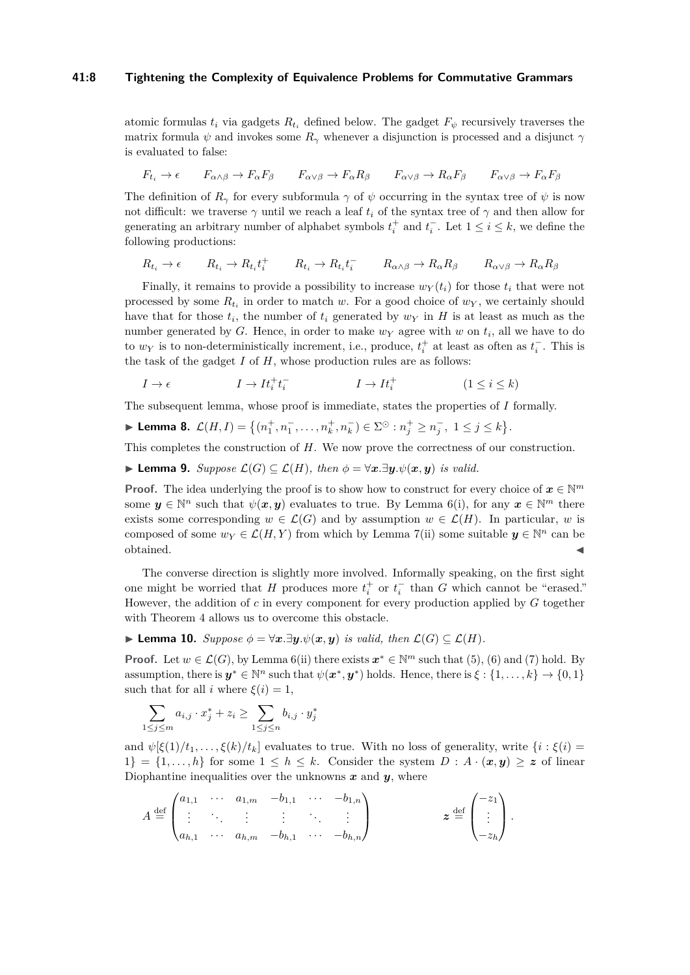#### **41:8 Tightening the Complexity of Equivalence Problems for Commutative Grammars**

atomic formulas  $t_i$  via gadgets  $R_{t_i}$  defined below. The gadget  $F_{\psi}$  recursively traverses the matrix formula  $\psi$  and invokes some  $R_\gamma$  whenever a disjunction is processed and a disjunct  $\gamma$ is evaluated to false:

$$
F_{t_i} \to \epsilon \qquad F_{\alpha \wedge \beta} \to F_{\alpha} F_{\beta} \qquad F_{\alpha \vee \beta} \to F_{\alpha} R_{\beta} \qquad F_{\alpha \vee \beta} \to R_{\alpha} F_{\beta} \qquad F_{\alpha \vee \beta} \to F_{\alpha} F_{\beta}
$$

The definition of  $R_\gamma$  for every subformula  $\gamma$  of  $\psi$  occurring in the syntax tree of  $\psi$  is now not difficult: we traverse  $\gamma$  until we reach a leaf  $t_i$  of the syntax tree of  $\gamma$  and then allow for generating an arbitrary number of alphabet symbols  $t_i^+$  and  $t_i^-$ . Let  $1 \le i \le k$ , we define the following productions:

$$
R_{t_i} \to \epsilon \qquad R_{t_i} \to R_{t_i} t_i^+ \qquad R_{t_i} \to R_{t_i} t_i^- \qquad R_{\alpha \wedge \beta} \to R_{\alpha} R_{\beta} \qquad R_{\alpha \vee \beta} \to R_{\alpha} R_{\beta}
$$

Finally, it remains to provide a possibility to increase  $w_Y(t_i)$  for those  $t_i$  that were not processed by some *Rt<sup>i</sup>* in order to match *w*. For a good choice of *w<sup>Y</sup>* , we certainly should have that for those  $t_i$ , the number of  $t_i$  generated by  $w_Y$  in  $H$  is at least as much as the number generated by *G*. Hence, in order to make *w<sup>Y</sup>* agree with *w* on *t<sup>i</sup>* , all we have to do to  $w_Y$  is to non-deterministically increment, i.e., produce,  $t_i^+$  at least as often as  $t_i^-$ . This is the task of the gadget *I* of *H*, whose production rules are as follows:

$$
I \to \epsilon \qquad \qquad I \to It_i^+ t_i^- \qquad \qquad I \to It_i^+ \qquad \qquad (1 \leq i \leq k)
$$

The subsequent lemma, whose proof is immediate, states the properties of *I* formally.

<span id="page-7-0"></span>
$$
\blacktriangleright \textbf{Lemma 8. } \mathcal{L}(H,I) = \left\{ (n_1^+, n_1^-, \dots, n_k^+, n_k^-) \in \Sigma^\odot : n_j^+ \ge n_j^-, \ 1 \le j \le k \right\}.
$$

This completes the construction of *H*. We now prove the correctness of our construction.

<span id="page-7-1"></span>▶ **Lemma 9.** Suppose  $\mathcal{L}(G) \subseteq \mathcal{L}(H)$ , then  $\phi = \forall x . \exists y . \psi(x, y)$  is valid.

**Proof.** The idea underlying the proof is to show how to construct for every choice of  $x \in \mathbb{N}^m$ some  $y \in \mathbb{N}^n$  such that  $\psi(x, y)$  evaluates to true. By Lemma [6\(](#page-6-0)i), for any  $x \in \mathbb{N}^m$  there exists some corresponding  $w \in \mathcal{L}(G)$  and by assumption  $w \in \mathcal{L}(H)$ . In particular, *w* is composed of some  $w_Y \in \mathcal{L}(H, Y)$  from which by Lemma [7\(](#page-6-1)ii) some suitable  $y \in \mathbb{N}^n$  can be  $\bullet$  obtained.

The converse direction is slightly more involved. Informally speaking, on the first sight one might be worried that *H* produces more  $t_i^+$  or  $t_i^-$  than *G* which cannot be "erased." However, the addition of *c* in every component for every production applied by *G* together with Theorem [4](#page-4-1) allows us to overcome this obstacle.

<span id="page-7-2"></span>**► Lemma 10.** *Suppose*  $\phi = \forall x . \exists y . \psi(x, y)$  *is valid, then*  $\mathcal{L}(G) \subseteq \mathcal{L}(H)$ *.* 

**Proof.** Let  $w \in \mathcal{L}(G)$ , by Lemma [6\(](#page-6-0)ii) there exists  $x^* \in \mathbb{N}^m$  such that [\(5\)](#page-6-2), [\(6\)](#page-6-3) and [\(7\)](#page-6-4) hold. By assumption, there is  $y^* \in \mathbb{N}^n$  such that  $\psi(x^*, y^*)$  holds. Hence, there is  $\xi : \{1, \ldots, k\} \to \{0, 1\}$ such that for all *i* where  $\xi(i) = 1$ ,

$$
\sum_{1 \le j \le m} a_{i,j} \cdot x_j^* + z_i \ge \sum_{1 \le j \le n} b_{i,j} \cdot y_j^*
$$

and  $\psi[\xi(1)/t_1,\ldots,\xi(k)/t_k]$  evaluates to true. With no loss of generality, write  $\{i : \xi(i) =$ 1} = {1,...,h} for some  $1 \leq h \leq k$ . Consider the system  $D : A \cdot (\mathbf{x}, \mathbf{y}) \geq z$  of linear Diophantine inequalities over the unknowns  $x$  and  $y$ , where

$$
A \stackrel{\text{def}}{=} \begin{pmatrix} a_{1,1} & \cdots & a_{1,m} & -b_{1,1} & \cdots & -b_{1,n} \\ \vdots & \ddots & \vdots & \vdots & \ddots & \vdots \\ a_{h,1} & \cdots & a_{h,m} & -b_{h,1} & \cdots & -b_{h,n} \end{pmatrix} \qquad z \stackrel{\text{def}}{=} \begin{pmatrix} -z_1 \\ \vdots \\ -z_h \end{pmatrix}.
$$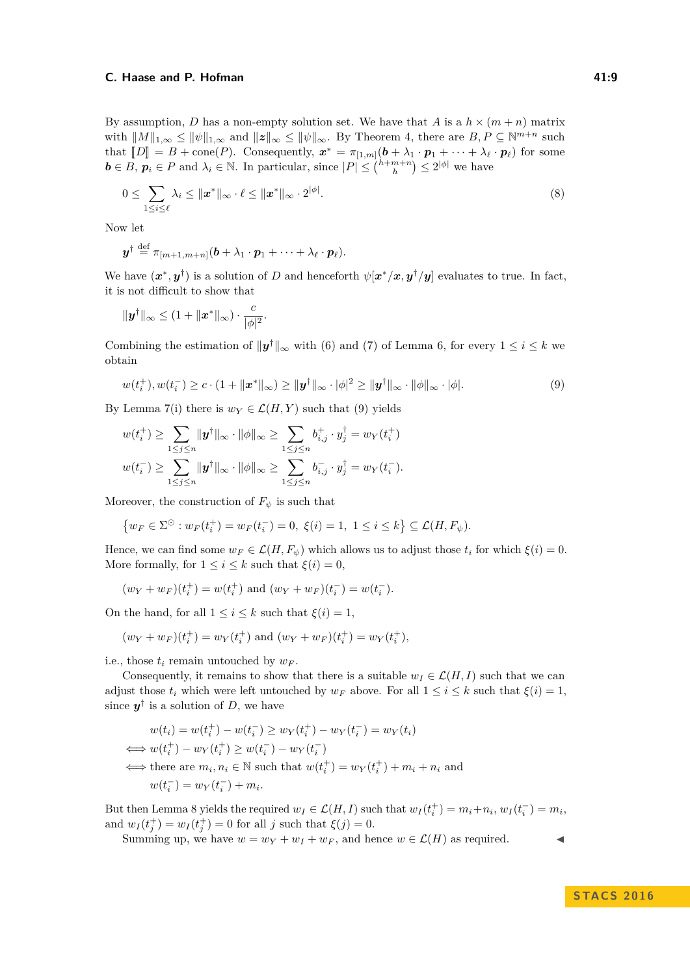By assumption, *D* has a non-empty solution set. We have that *A* is a  $h \times (m+n)$  matrix with  $||M||_{1,\infty} \le ||\psi||_{1,\infty}$  and  $||z||_{\infty} \le ||\psi||_{\infty}$ . By Theorem [4,](#page-4-1) there are  $B, P \subseteq \mathbb{N}^{m+n}$  such that  $[D] = B + \text{cone}(P)$ . Consequently,  $x^* = \pi_{[1,m]}(b + \lambda_1 \cdot p_1 + \cdots + \lambda_\ell \cdot p_\ell)$  for some  $\mathbf{b} \in B$ ,  $\mathbf{p}_i \in P$  and  $\lambda_i \in \mathbb{N}$ . In particular, since  $|P| \leq {h+m+n \choose h} \leq 2^{|\phi|}$  we have

$$
0 \leq \sum_{1 \leq i \leq \ell} \lambda_i \leq ||\mathbf{x}^*||_{\infty} \cdot \ell \leq ||\mathbf{x}^*||_{\infty} \cdot 2^{|\phi|}.
$$
\n(8)

Now let

$$
\boldsymbol{y}^{\dagger} \stackrel{\text{def}}{=} \pi_{[m+1,m+n]}(\boldsymbol{b} + \lambda_1 \cdot \boldsymbol{p}_1 + \cdots + \lambda_{\ell} \cdot \boldsymbol{p}_{\ell}).
$$

We have  $(x^*, y^{\dagger})$  is a solution of *D* and henceforth  $\psi[x^*/x, y^{\dagger}/y]$  evaluates to true. In fact, it is not difficult to show that

$$
\|\pmb{y}^\dagger\|_\infty \leq (1+\|\pmb{x}^*\|_\infty)\cdot \frac{c}{|\phi|^2}.
$$

Combining the estimation of  $\|\mathbf{y}^{\dagger}\|_{\infty}$  with [\(6\)](#page-6-3) and [\(7\)](#page-6-4) of Lemma [6,](#page-6-0) for every  $1 \leq i \leq k$  we obtain

<span id="page-8-0"></span>
$$
w(t_i^+), w(t_i^-) \ge c \cdot (1 + \|\boldsymbol{x}^*\|_{\infty}) \ge \|\boldsymbol{y}^{\dagger}\|_{\infty} \cdot |\phi|^2 \ge \|\boldsymbol{y}^{\dagger}\|_{\infty} \cdot \|\phi\|_{\infty} \cdot |\phi|.
$$
 (9)

By Lemma [7\(](#page-6-1)i) there is  $w_Y \in \mathcal{L}(H, Y)$  such that [\(9\)](#page-8-0) yields

$$
w(t_i^+) \ge \sum_{1 \le j \le n} \|\mathbf{y}^\dagger\|_\infty \cdot \|\phi\|_\infty \ge \sum_{1 \le j \le n} b_{i,j}^+ \cdot y_j^\dagger = w_Y(t_i^+) w(t_i^-) \ge \sum_{1 \le j \le n} \|\mathbf{y}^\dagger\|_\infty \cdot \|\phi\|_\infty \ge \sum_{1 \le j \le n} b_{i,j}^- \cdot y_j^\dagger = w_Y(t_i^-).
$$

Moreover, the construction of  $F_{\psi}$  is such that

$$
\{w_F \in \Sigma^{\odot} : w_F(t_i^+) = w_F(t_i^-) = 0, \ \xi(i) = 1, \ 1 \le i \le k\} \subseteq \mathcal{L}(H, F_{\psi}).
$$

Hence, we can find some  $w_F \in \mathcal{L}(H, F_\psi)$  which allows us to adjust those  $t_i$  for which  $\xi(i) = 0$ . More formally, for  $1 \leq i \leq k$  such that  $\xi(i) = 0$ ,

$$
(w_Y + w_F)(t_i^+) = w(t_i^+)
$$
 and  $(w_Y + w_F)(t_i^-) = w(t_i^-)$ .

On the hand, for all  $1 \leq i \leq k$  such that  $\xi(i) = 1$ ,

$$
(w_Y + w_F)(t_i^+) = w_Y(t_i^+)
$$
 and  $(w_Y + w_F)(t_i^+) = w_Y(t_i^+),$ 

i.e., those  $t_i$  remain untouched by  $w_F$ .

Consequently, it remains to show that there is a suitable  $w_I \in \mathcal{L}(H, I)$  such that we can adjust those  $t_i$  which were left untouched by  $w_F$  above. For all  $1 \leq i \leq k$  such that  $\xi(i) = 1$ , since  $y^{\dagger}$  is a solution of *D*, we have

$$
w(t_i) = w(t_i^+) - w(t_i^-) \ge w_Y(t_i^+) - w_Y(t_i^-) = w_Y(t_i)
$$
  
\n
$$
\iff w(t_i^+) - w_Y(t_i^+) \ge w(t_i^-) - w_Y(t_i^-)
$$
  
\n
$$
\iff \text{there are } m_i, n_i \in \mathbb{N} \text{ such that } w(t_i^+) = w_Y(t_i^+) + m_i + n_i \text{ and}
$$
  
\n
$$
w(t_i^-) = w_Y(t_i^-) + m_i.
$$

But then Lemma [8](#page-7-0) yields the required  $w_I \in \mathcal{L}(H, I)$  such that  $w_I(t_i^+) = m_i + n_i$ ,  $w_I(t_i^-) = m_i$ , and  $w_I(t_j^+) = w_I(t_j^+) = 0$  for all *j* such that  $\xi(j) = 0$ .

Summing up, we have  $w = w_Y + w_I + w_F$ , and hence  $w \in \mathcal{L}(H)$  as required.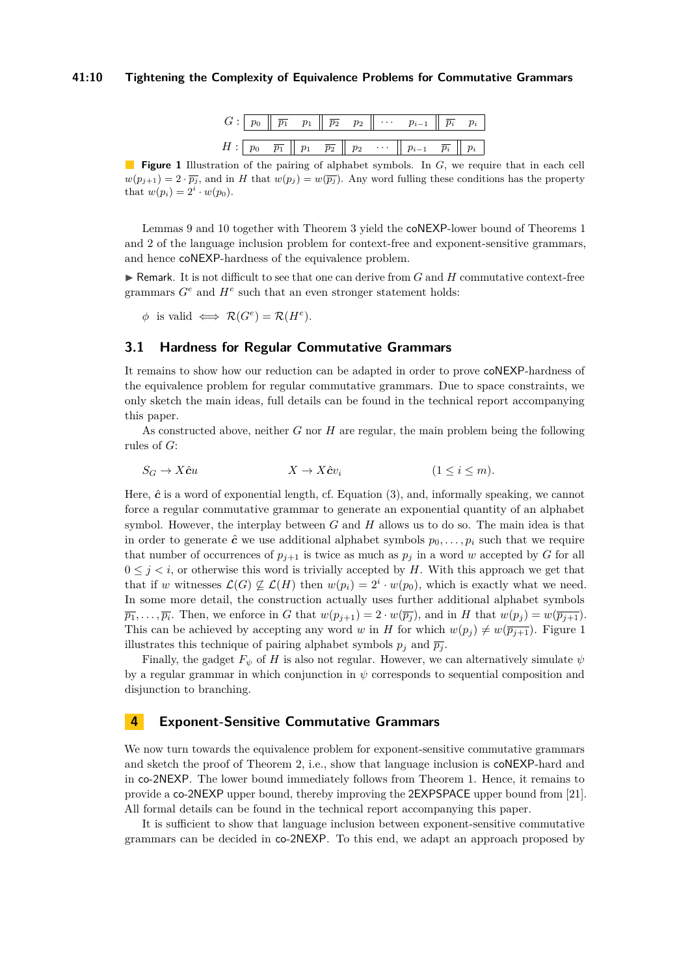#### **41:10 Tightening the Complexity of Equivalence Problems for Commutative Grammars**

|  |  |  | $G: \begin{array}{ c c c c c } \hline p_0 &\hline \overline{p_1} &\hline p_1 &\hline \overline{p_2} &\hline p_2 &\hline \end{array} \cdots \quad p_{i-1} \parallel \overline{p_i} \quad p_i$ |  |
|--|--|--|----------------------------------------------------------------------------------------------------------------------------------------------------------------------------------------------|--|
|  |  |  | $H: \begin{bmatrix} p_0 & \overline{p_1} & p_1 & \overline{p_2} & p_2 & \cdots & p_{i-1} & \overline{p_i} & p_i \end{bmatrix}$                                                               |  |

<span id="page-9-0"></span>**Figure 1** Illustration of the pairing of alphabet symbols. In *G*, we require that in each cell  $w(p_{j+1}) = 2 \cdot \overline{p_j}$ , and in *H* that  $w(p_j) = w(\overline{p_j})$ . Any word fulling these conditions has the property that  $w(p_i) = 2^i \cdot w(p_0)$ .

Lemmas [9](#page-7-1) and [10](#page-7-2) together with Theorem [3](#page-4-2) yield the coNEXP-lower bound of Theorems [1](#page-3-0) and [2](#page-3-1) of the language inclusion problem for context-free and exponent-sensitive grammars, and hence coNEXP-hardness of the equivalence problem.

 $\blacktriangleright$  Remark. It is not difficult to see that one can derive from *G* and *H* commutative context-free grammars  $G^e$  and  $H^e$  such that an even stronger statement holds:

 $\phi$  is valid  $\iff \mathcal{R}(G^e) = \mathcal{R}(H^e)$ *.* 

# <span id="page-9-1"></span>**3.1 Hardness for Regular Commutative Grammars**

It remains to show how our reduction can be adapted in order to prove coNEXP-hardness of the equivalence problem for regular commutative grammars. Due to space constraints, we only sketch the main ideas, full details can be found in the technical report accompanying this paper.

As constructed above, neither *G* nor *H* are regular, the main problem being the following rules of *G*:

$$
S_G \to X\hat{c}u \qquad \qquad X \to X\hat{c}v_i \qquad \qquad (1 \le i \le m).
$$

Here,  $\hat{c}$  is a word of exponential length, cf. Equation  $(3)$ , and, informally speaking, we cannot force a regular commutative grammar to generate an exponential quantity of an alphabet symbol. However, the interplay between *G* and *H* allows us to do so. The main idea is that in order to generate  $\hat{c}$  we use additional alphabet symbols  $p_0, \ldots, p_i$  such that we require that number of occurrences of  $p_{j+1}$  is twice as much as  $p_j$  in a word *w* accepted by *G* for all  $0 \leq j \leq i$ , or otherwise this word is trivially accepted by H. With this approach we get that that if *w* witnesses  $\mathcal{L}(G) \not\subseteq \mathcal{L}(H)$  then  $w(p_i) = 2^i \cdot w(p_0)$ , which is exactly what we need. In some more detail, the construction actually uses further additional alphabet symbols  $\overline{p_1}, \ldots, \overline{p_i}$ . Then, we enforce in *G* that  $w(p_{j+1}) = 2 \cdot w(\overline{p_j})$ , and in *H* that  $w(p_j) = w(\overline{p_{j+1}})$ . This can be achieved by accepting any word *w* in *H* for which  $w(p_i) \neq w(\overline{p_{i+1}})$ . Figure [1](#page-9-0) illustrates this technique of pairing alphabet symbols  $p_j$  and  $\overline{p_j}$ .

Finally, the gadget  $F_{\psi}$  of *H* is also not regular. However, we can alternatively simulate  $\psi$ by a regular grammar in which conjunction in *ψ* corresponds to sequential composition and disjunction to branching.

# **4 Exponent-Sensitive Commutative Grammars**

We now turn towards the equivalence problem for exponent-sensitive commutative grammars and sketch the proof of Theorem [2,](#page-3-1) i.e., show that language inclusion is coNEXP-hard and in co-2NEXP. The lower bound immediately follows from Theorem [1.](#page-3-0) Hence, it remains to provide a co-2NEXP upper bound, thereby improving the 2EXPSPACE upper bound from [\[21\]](#page-12-10). All formal details can be found in the technical report accompanying this paper.

It is sufficient to show that language inclusion between exponent-sensitive commutative grammars can be decided in co-2NEXP. To this end, we adapt an approach proposed by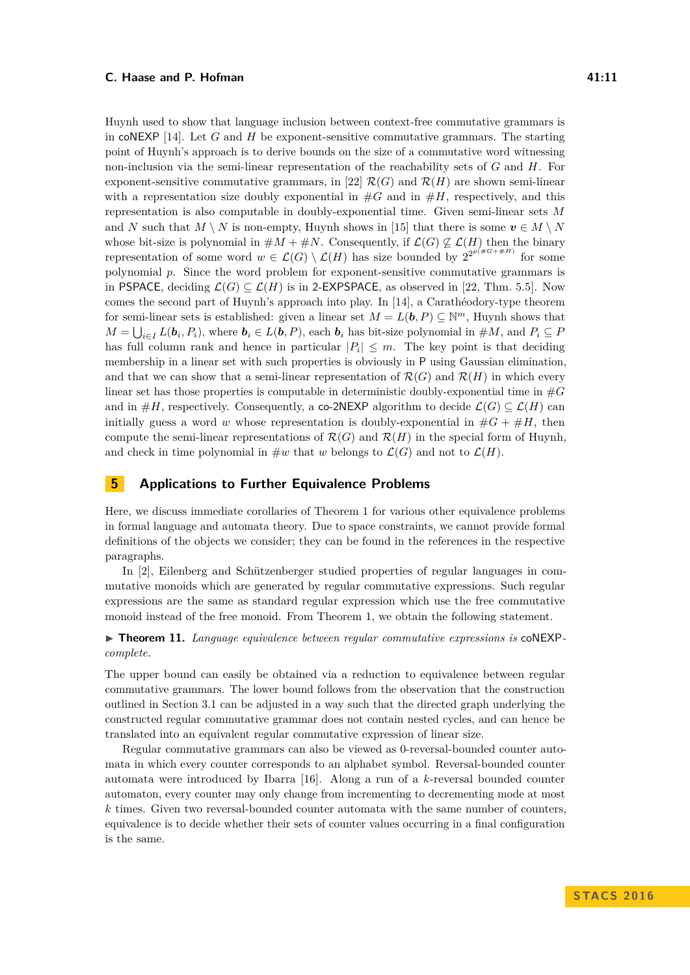Huynh used to show that language inclusion between context-free commutative grammars is in coNEXP [\[14\]](#page-12-4). Let *G* and *H* be exponent-sensitive commutative grammars. The starting point of Huynh's approach is to derive bounds on the size of a commutative word witnessing non-inclusion via the semi-linear representation of the reachability sets of *G* and *H*. For exponent-sensitive commutative grammars, in [\[22\]](#page-13-5)  $\mathcal{R}(G)$  and  $\mathcal{R}(H)$  are shown semi-linear with a representation size doubly exponential in  $#G$  and in  $#H$ , respectively, and this representation is also computable in doubly-exponential time. Given semi-linear sets *M* and *N* such that  $M \setminus N$  is non-empty, Huynh shows in [\[15\]](#page-12-13) that there is some  $v \in M \setminus N$ whose bit-size is polynomial in  $\#M + \#N$ . Consequently, if  $\mathcal{L}(G) \not\subseteq \mathcal{L}(H)$  then the binary representation of some word  $w \in \mathcal{L}(G) \setminus \mathcal{L}(H)$  has size bounded by  $2^{2^{p(\#G + \#H)}}$  for some polynomial *p*. Since the word problem for exponent-sensitive commutative grammars is in PSPACE, deciding  $\mathcal{L}(G) \subseteq \mathcal{L}(H)$  is in 2-EXPSPACE, as observed in [\[22,](#page-13-5) Thm. 5.5]. Now comes the second part of Huynh's approach into play. In [\[14\]](#page-12-4), a Carathéodory-type theorem for semi-linear sets is established: given a linear set  $M = L(b, P) \subseteq \mathbb{N}^m$ , Huynh shows that  $M = \bigcup_{i \in I} L(b_i, P_i)$ , where  $b_i \in L(b, P)$ , each  $b_i$  has bit-size polynomial in  $\#M$ , and  $P_i \subseteq P$ has full column rank and hence in particular  $|P_i| \leq m$ . The key point is that deciding membership in a linear set with such properties is obviously in P using Gaussian elimination, and that we can show that a semi-linear representation of  $\mathcal{R}(G)$  and  $\mathcal{R}(H)$  in which every linear set has those properties is computable in deterministic doubly-exponential time in #*G* and in  $\#H$ , respectively. Consequently, a co-2NEXP algorithm to decide  $\mathcal{L}(G) \subseteq \mathcal{L}(H)$  can initially guess a word *w* whose representation is doubly-exponential in  $\#G + \#H$ , then compute the semi-linear representations of  $\mathcal{R}(G)$  and  $\mathcal{R}(H)$  in the special form of Huynh, and check in time polynomial in  $\#w$  that *w* belongs to  $\mathcal{L}(G)$  and not to  $\mathcal{L}(H)$ .

# **5 Applications to Further Equivalence Problems**

Here, we discuss immediate corollaries of Theorem [1](#page-3-0) for various other equivalence problems in formal language and automata theory. Due to space constraints, we cannot provide formal definitions of the objects we consider; they can be found in the references in the respective paragraphs.

In [\[2\]](#page-11-1), Eilenberg and Schützenberger studied properties of regular languages in commutative monoids which are generated by regular commutative expressions. Such regular expressions are the same as standard regular expression which use the free commutative monoid instead of the free monoid. From Theorem [1,](#page-3-0) we obtain the following statement.

## ▶ **Theorem 11.** *Language equivalence between regular commutative expressions is* coNEXP*complete.*

The upper bound can easily be obtained via a reduction to equivalence between regular commutative grammars. The lower bound follows from the observation that the construction outlined in Section [3.1](#page-9-1) can be adjusted in a way such that the directed graph underlying the constructed regular commutative grammar does not contain nested cycles, and can hence be translated into an equivalent regular commutative expression of linear size.

Regular commutative grammars can also be viewed as 0-reversal-bounded counter automata in which every counter corresponds to an alphabet symbol. Reversal-bounded counter automata were introduced by Ibarra [\[16\]](#page-12-11). Along a run of a *k*-reversal bounded counter automaton, every counter may only change from incrementing to decrementing mode at most *k* times. Given two reversal-bounded counter automata with the same number of counters, equivalence is to decide whether their sets of counter values occurring in a final configuration is the same.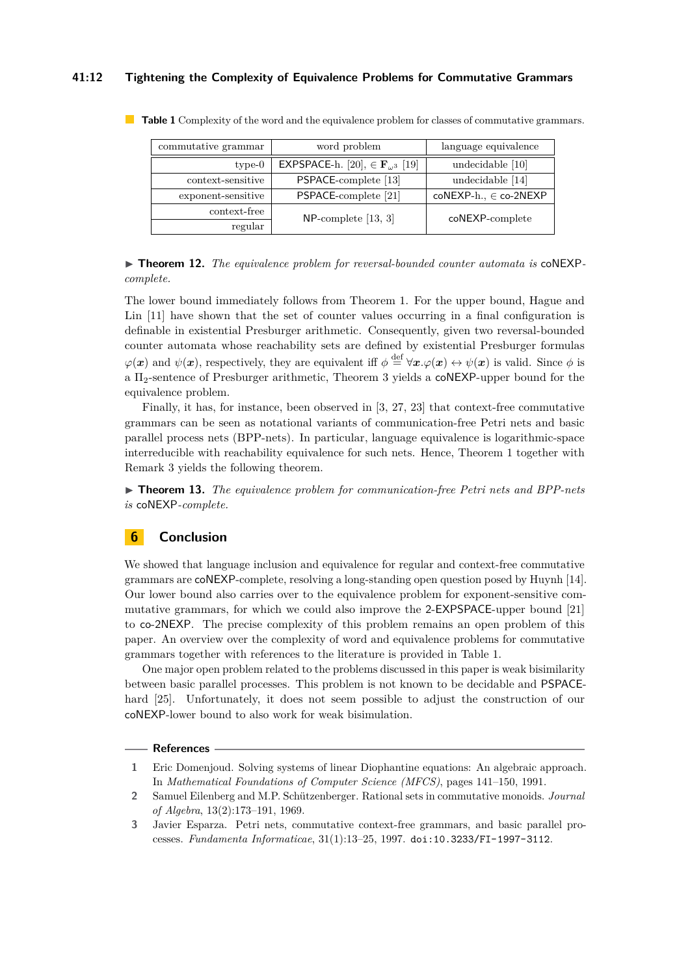## **41:12 Tightening the Complexity of Equivalence Problems for Commutative Grammars**

| commutative grammar | word problem                                       | language equivalence      |  |  |
|---------------------|----------------------------------------------------|---------------------------|--|--|
| $type-0$            | EXPSPACE-h. [20], $\in \mathbf{F}_{\omega^3}$ [19] | undecidable $[10]$        |  |  |
| context-sensitive   | PSPACE-complete [13]                               | undecidable $[14]$        |  |  |
| exponent-sensitive  | PSPACE-complete [21]                               | $coNEXP-h., \in co-2NEXP$ |  |  |
| context-free        | $NP$ -complete [13, 3]                             | coNEXP-complete           |  |  |
| regular             |                                                    |                           |  |  |

<span id="page-11-3"></span>**Table 1** Complexity of the word and the equivalence problem for classes of commutative grammars.

▶ **Theorem 12.** The equivalence problem for reversal-bounded counter automata is coNEXP*complete.*

The lower bound immediately follows from Theorem [1.](#page-3-0) For the upper bound, Hague and Lin [\[11\]](#page-12-17) have shown that the set of counter values occurring in a final configuration is definable in existential Presburger arithmetic. Consequently, given two reversal-bounded counter automata whose reachability sets are defined by existential Presburger formulas  $\varphi(\bm{x})$  and  $\psi(\bm{x})$ , respectively, they are equivalent iff  $\phi \stackrel{\text{def}}{=} \forall \bm{x} \cdot \varphi(\bm{x}) \leftrightarrow \psi(\bm{x})$  is valid. Since  $\phi$  is a  $\Pi_2$ -sentence of Presburger arithmetic, Theorem [3](#page-4-2) yields a coNEXP-upper bound for the equivalence problem.

Finally, it has, for instance, been observed in [\[3,](#page-11-0) [27,](#page-13-1) [23\]](#page-13-2) that context-free commutative grammars can be seen as notational variants of communication-free Petri nets and basic parallel process nets (BPP-nets). In particular, language equivalence is logarithmic-space interreducible with reachability equivalence for such nets. Hence, Theorem [1](#page-3-0) together with Remark [3](#page-8-0) yields the following theorem.

▶ **Theorem 13.** *The equivalence problem for communication-free Petri nets and BPP-nets is* coNEXP*-complete.*

# **6 Conclusion**

We showed that language inclusion and equivalence for regular and context-free commutative grammars are coNEXP-complete, resolving a long-standing open question posed by Huynh [\[14\]](#page-12-4). Our lower bound also carries over to the equivalence problem for exponent-sensitive commutative grammars, for which we could also improve the 2-EXPSPACE-upper bound [\[21\]](#page-12-10) to co-2NEXP. The precise complexity of this problem remains an open problem of this paper. An overview over the complexity of word and equivalence problems for commutative grammars together with references to the literature is provided in Table [1.](#page-11-3)

One major open problem related to the problems discussed in this paper is weak bisimilarity between basic parallel processes. This problem is not known to be decidable and PSPACE-hard [\[25\]](#page-13-6). Unfortunately, it does not seem possible to adjust the construction of our coNEXP-lower bound to also work for weak bisimulation.

#### **References**

<span id="page-11-2"></span>**<sup>1</sup>** Eric Domenjoud. Solving systems of linear Diophantine equations: An algebraic approach. In *Mathematical Foundations of Computer Science (MFCS)*, pages 141–150, 1991.

<span id="page-11-1"></span>**<sup>2</sup>** Samuel Eilenberg and M.P. Schützenberger. Rational sets in commutative monoids. *Journal of Algebra*, 13(2):173–191, 1969.

<span id="page-11-0"></span>**<sup>3</sup>** Javier Esparza. Petri nets, commutative context-free grammars, and basic parallel processes. *Fundamenta Informaticae*, 31(1):13–25, 1997. [doi:10.3233/FI-1997-3112](http://dx.doi.org/10.3233/FI-1997-3112).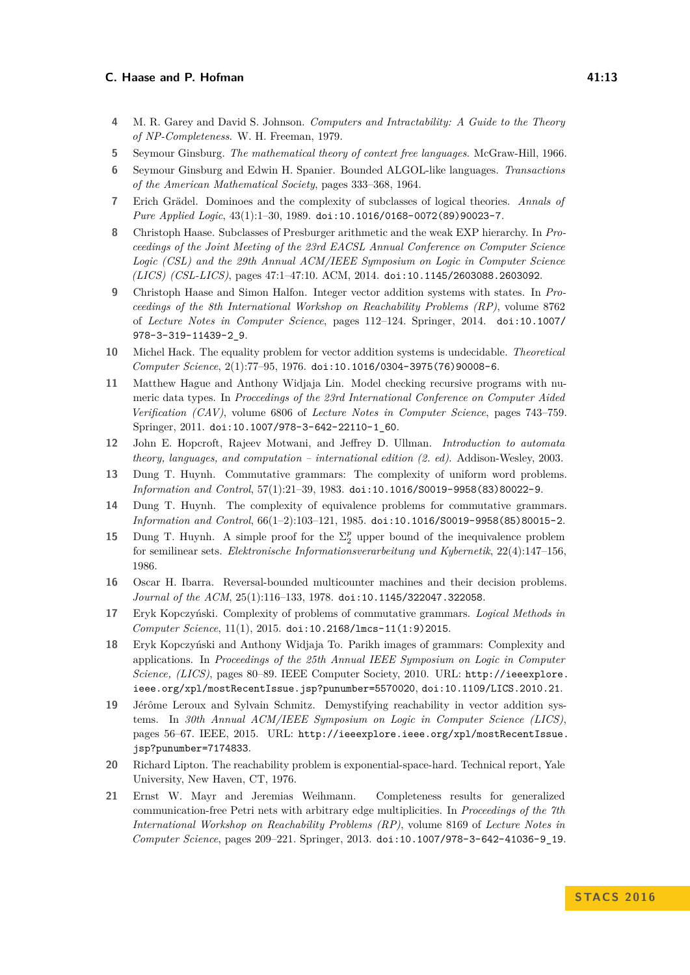- <span id="page-12-0"></span>**4** M. R. Garey and David S. Johnson. *Computers and Intractability: A Guide to the Theory of NP-Completeness*. W. H. Freeman, 1979.
- <span id="page-12-2"></span>**5** Seymour Ginsburg. *The mathematical theory of context free languages*. McGraw-Hill, 1966.
- <span id="page-12-12"></span>**6** Seymour Ginsburg and Edwin H. Spanier. Bounded ALGOL-like languages. *Transactions of the American Mathematical Society*, pages 333–368, 1964.
- <span id="page-12-7"></span>**7** Erich Grädel. Dominoes and the complexity of subclasses of logical theories. *Annals of Pure Applied Logic*, 43(1):1–30, 1989. [doi:10.1016/0168-0072\(89\)90023-7](http://dx.doi.org/10.1016/0168-0072(89)90023-7).
- <span id="page-12-8"></span>**8** Christoph Haase. Subclasses of Presburger arithmetic and the weak EXP hierarchy. In *Proceedings of the Joint Meeting of the 23rd EACSL Annual Conference on Computer Science Logic (CSL) and the 29th Annual ACM/IEEE Symposium on Logic in Computer Science (LICS) (CSL-LICS)*, pages 47:1–47:10. ACM, 2014. [doi:10.1145/2603088.2603092](http://dx.doi.org/10.1145/2603088.2603092).
- <span id="page-12-9"></span>**9** Christoph Haase and Simon Halfon. Integer vector addition systems with states. In *Proceedings of the 8th International Workshop on Reachability Problems (RP)*, volume 8762 of *Lecture Notes in Computer Science*, pages 112–124. Springer, 2014. [doi:10.1007/](http://dx.doi.org/10.1007/978-3-319-11439-2_9) [978-3-319-11439-2\\_9](http://dx.doi.org/10.1007/978-3-319-11439-2_9).
- <span id="page-12-16"></span>**10** Michel Hack. The equality problem for vector addition systems is undecidable. *Theoretical Computer Science*, 2(1):77–95, 1976. [doi:10.1016/0304-3975\(76\)90008-6](http://dx.doi.org/10.1016/0304-3975(76)90008-6).
- <span id="page-12-17"></span>**11** Matthew Hague and Anthony Widjaja Lin. Model checking recursive programs with numeric data types. In *Proccedings of the 23rd International Conference on Computer Aided Verification (CAV)*, volume 6806 of *Lecture Notes in Computer Science*, pages 743–759. Springer, 2011. [doi:10.1007/978-3-642-22110-1\\_60](http://dx.doi.org/10.1007/978-3-642-22110-1_60).
- <span id="page-12-1"></span>**12** John E. Hopcroft, Rajeev Motwani, and Jeffrey D. Ullman. *Introduction to automata theory, languages, and computation – international edition (2. ed)*. Addison-Wesley, 2003.
- <span id="page-12-3"></span>**13** Dung T. Huynh. Commutative grammars: The complexity of uniform word problems. *Information and Control*, 57(1):21–39, 1983. [doi:10.1016/S0019-9958\(83\)80022-9](http://dx.doi.org/10.1016/S0019-9958(83)80022-9).
- <span id="page-12-4"></span>**14** Dung T. Huynh. The complexity of equivalence problems for commutative grammars. *Information and Control*, 66(1–2):103–121, 1985. [doi:10.1016/S0019-9958\(85\)80015-2](http://dx.doi.org/10.1016/S0019-9958(85)80015-2).
- <span id="page-12-13"></span>**15** Dung T. Huynh. A simple proof for the  $\Sigma_2^p$  upper bound of the inequivalence problem for semilinear sets. *Elektronische Informationsverarbeitung und Kybernetik*, 22(4):147–156, 1986.
- <span id="page-12-11"></span>**16** Oscar H. Ibarra. Reversal-bounded multicounter machines and their decision problems. *Journal of the ACM*, 25(1):116–133, 1978. [doi:10.1145/322047.322058](http://dx.doi.org/10.1145/322047.322058).
- <span id="page-12-6"></span>**17** Eryk Kopczyński. Complexity of problems of commutative grammars. *Logical Methods in Computer Science*, 11(1), 2015. [doi:10.2168/lmcs-11\(1:9\)2015](http://dx.doi.org/10.2168/lmcs-11(1:9)2015).
- <span id="page-12-5"></span>**18** Eryk Kopczyński and Anthony Widjaja To. Parikh images of grammars: Complexity and applications. In *Proceedings of the 25th Annual IEEE Symposium on Logic in Computer Science, (LICS)*, pages 80–89. IEEE Computer Society, 2010. URL: [http://ieeexplore.](http://ieeexplore.ieee.org/xpl/mostRecentIssue.jsp?punumber=5570020) [ieee.org/xpl/mostRecentIssue.jsp?punumber=5570020](http://ieeexplore.ieee.org/xpl/mostRecentIssue.jsp?punumber=5570020), [doi:10.1109/LICS.2010.21](http://dx.doi.org/10.1109/LICS.2010.21).
- <span id="page-12-15"></span>**19** Jérôme Leroux and Sylvain Schmitz. Demystifying reachability in vector addition systems. In *30th Annual ACM/IEEE Symposium on Logic in Computer Science (LICS)*, pages 56–67. IEEE, 2015. URL: [http://ieeexplore.ieee.org/xpl/mostRecentIssue.](http://ieeexplore.ieee.org/xpl/mostRecentIssue.jsp?punumber=7174833) [jsp?punumber=7174833](http://ieeexplore.ieee.org/xpl/mostRecentIssue.jsp?punumber=7174833).
- <span id="page-12-14"></span>**20** Richard Lipton. The reachability problem is exponential-space-hard. Technical report, Yale University, New Haven, CT, 1976.
- <span id="page-12-10"></span>**21** Ernst W. Mayr and Jeremias Weihmann. Completeness results for generalized communication-free Petri nets with arbitrary edge multiplicities. In *Proceedings of the 7th International Workshop on Reachability Problems (RP)*, volume 8169 of *Lecture Notes in Computer Science*, pages 209–221. Springer, 2013. [doi:10.1007/978-3-642-41036-9\\_19](http://dx.doi.org/10.1007/978-3-642-41036-9_19).